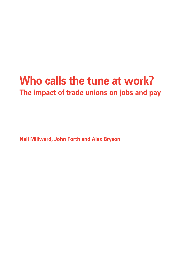# **Who calls the tune at work? The impact of trade unions on jobs and pay**

**Neil Millward, John Forth and Alex Bryson**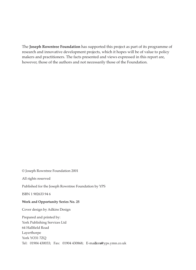The **Joseph Rowntree Foundation** has supported this project as part of its programme of research and innovative development projects, which it hopes will be of value to policy makers and practitioners. The facts presented and views expressed in this report are, however, those of the authors and not necessarily those of the Foundation.

© Joseph Rowntree Foundation 2001

All rights reserved

Published for the Joseph Rowntree Foundation by YPS

ISBN 1 902633 94 6

## **Work and Opportunity Series No. 25**

Cover design by Adkins Design

Prepared and printed by: York Publishing Services Ltd 64 Hallfield Road Layerthorpe York YO31 7ZQ Tel: 01904 430033; Fax: 01904 430868; E-mailers@yps.ymn.co.uk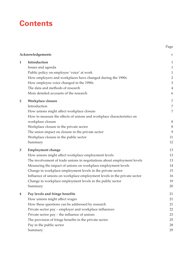# **Contents**

|                | Acknowledgements                                                         | V              |
|----------------|--------------------------------------------------------------------------|----------------|
| $\mathbf{1}$   | Introduction                                                             | $\mathbf{1}$   |
|                | Issues and agenda                                                        | $\mathbf{1}$   |
|                | Public policy on employee 'voice' at work                                | $\mathbf{1}$   |
|                | How employers and workplaces have changed during the 1990s               | $\overline{2}$ |
|                | How employee voice changed in the 1990s                                  | $\mathfrak{Z}$ |
|                | The data and methods of research                                         | $\overline{4}$ |
|                | More detailed accounts of the research                                   | 6              |
| $\overline{2}$ | Workplace closure                                                        | 7              |
|                | Introduction                                                             | 7              |
|                | How unions might affect workplace closure                                | 7              |
|                | How to measure the effects of unions and workplace characteristics on    |                |
|                | workplace closure                                                        | 8              |
|                | Workplace closure in the private sector                                  | $8\,$          |
|                | The union impact on closure in the private sector                        | 9              |
|                | Workplace closure in the public sector                                   | 11             |
|                | Summary                                                                  | 12             |
| 3              | <b>Employment change</b>                                                 | 13             |
|                | How unions might affect workplace employment levels                      | 13             |
|                | The involvement of trade unions in negotiations about employment levels  | 13             |
|                | Measuring the impact of unions on workplace employment levels            | 14             |
|                | Change in workplace employment levels in the private sector              | 15             |
|                | Influence of unions on workplace employment levels in the private sector | 16             |
|                | Change in workplace employment levels in the public sector               | 19             |
|                | Summary                                                                  | 20             |
| 4              | Pay levels and fringe benefits                                           | 21             |
|                | How unions might affect wages                                            | 21             |
|                | How these questions can be addressed by research                         | 21             |
|                | Private sector pay - employer and workplace influences                   | 22             |
|                | Private sector pay - the influence of unions                             | 23             |
|                | The provision of fringe benefits in the private sector                   | 25             |
|                | Pay in the public sector                                                 | 28             |
|                | Summary                                                                  | 29             |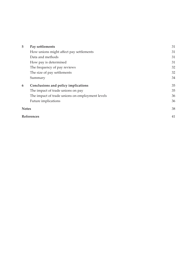| 5                 | Pay settlements                                 | 31 |
|-------------------|-------------------------------------------------|----|
|                   | How unions might affect pay settlements         | 31 |
|                   | Data and methods                                | 31 |
|                   | How pay is determined                           | 31 |
|                   | The frequency of pay reviews                    | 32 |
|                   | The size of pay settlements                     | 32 |
|                   | Summary                                         | 34 |
| 6                 | Conclusions and policy implications             | 35 |
|                   | The impact of trade unions on pay               | 35 |
|                   | The impact of trade unions on employment levels | 36 |
|                   | Future implications                             | 36 |
| <b>Notes</b>      |                                                 | 38 |
| <b>References</b> |                                                 | 41 |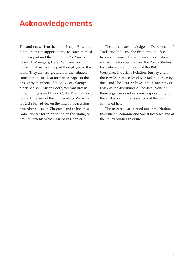# **Acknowledgements**

The authors wish to thank the Joseph Rowntree Foundation for supporting the research that led to this report and the Foundation's Principal Research Managers, Derek Williams and Barbara Ballard, for the part they played in the work. They are also grateful for the valuable contributions made at formative stages of the project by members of the Advisory Group: Mark Beatson, Alison Booth, William Brown, Simon Burgess and David Coats. Thanks also go to Mark Stewart of the University of Warwick for technical advice on the interval regression procedures used in Chapter 4 and to Incomes Data Services for information on the timing of pay settlements which is used in Chapter 5.

The authors acknowledge the Department of Trade and Industry; the Economic and Social Research Council; the Advisory, Conciliation and Arbitration Service; and the Policy Studies Institute as the originators of the 1990 Workplace Industrial Relations Survey and of the 1998 Workplace Employee Relations Survey data, and The Data Archive at the University of Essex as the distributor of the data. None of these organisations bears any responsibility for the analysis and interpretations of the data contained here.

The research was carried out at the National Institute of Economic and Social Research and at the Policy Studies Institute.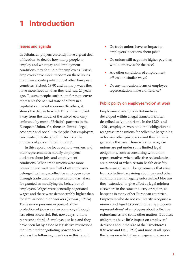# **1 Introduction**

#### **Issues and agenda**

In Britain, employers currently have a great deal of freedom to decide how many people to employ and what pay and employment conditions they should offer employees. British employers have more freedom on these issues than their counterparts in most other European countries (Siebert, 1999) and in many ways they have more freedom than they did, say, 20 years ago. To some people, such room for manoeuvre represents the natural state of affairs in a capitalist or market economy. To others, it shows the degree to which Britain has moved away from the model of the mixed economy embraced by most of Britain's partners in the European Union. Yet, there are limits – legal, economic and social – to the jobs that employers can create or destroy, both in terms of the numbers of jobs and their 'quality'.

In this report, we focus on how workers and their representatives modify employers' decisions about jobs and employment conditions. When trade unions were more powerful and well over half of all employees belonged to them, a collective employee voice through trade union representation was taken for granted as modifying the behaviour of employers. Wages were generally negotiated wages and these were demonstrably higher than for similar non-union workers (Stewart, 1983a). Trade union pressure in pursuit of the protection of jobs was also common, although less often successful. But, nowadays, unions represent a third of employees or less and they have been hit by a tide of legislative restrictions that limit their negotiating power. So we address the following questions in this report:

- Do trade unions have an impact on employers' decisions about jobs?
- Do unions still negotiate higher pay than would otherwise be the case?
- Are other conditions of employment affected in similar ways?
- Do any non-union forms of employee representation make a difference?

#### **Public policy on employee 'voice' at work**

Employment relations in Britain have developed within a legal framework often described as 'voluntarism'. In the 1980s and 1990s, employers were under no obligation to recognise trade unions for collective bargaining or for any other purposes – and this remains generally the case. Those who do recognise unions are put under some limited legal obligations, such as consulting with union representatives when collective redundancies are planned or when certain health or safety matters are at issue. The agreements that arise from collective bargaining about pay and other conditions are not legally enforceable.1 Nor are they 'extended' to give effect as legal minima elsewhere in the same industry or region, as happens in many other European countries. Employers who do not voluntarily recognise a union are obliged to consult other 'appropriate representatives' of employees about collective redundancies and some other matters. But these obligations have little impact on employers' decisions about the size of their workforces (Dickens and Hall, 1995) and none at all upon the terms on which they engage employees –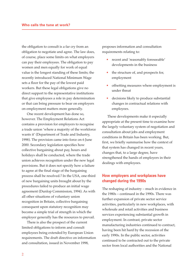the obligation to consult is a far cry from an obligation to negotiate and agree. The law does, of course, place some limits on what employers can pay their employees. The obligation to pay women and men equally for work of equal value is the longest standing of these limits; the recently introduced National Minimum Wage sets a floor for the pay of the lowest paid workers. But these legal obligations give no direct support to the representative institutions that give employees a role in pay determination or that can bring pressure to bear on employers on employment matters more generally.

One recent development has done so, however. The Employment Relations Act contains a provision for employers to recognise a trade union 'where a majority of the workforce wants it' (Department of Trade and Industry, 1998). The provision came into force on 6 June 2000. Secondary legislation specifies how collective bargaining about pay, hours and holidays shall be conducted, where the trade union achieves recognition under the new legal provisions. But it does not specify how a failure to agree at the final stage of the bargaining process shall be resolved.2 In the USA, one-third of new bargaining units brought about by the procedures failed to produce an initial wage agreement (Dunlop Commission, 1994). As with all other situations of voluntary union recognition in Britain, collective bargaining consequent upon statutory recognition may become a simple trial of strength in which the employer generally has the resources to prevail.

There is also the prospect of the current limited obligations to inform and consult employees being extended by European Union requirements. The draft directive on information and consultation, issued in November 1998,

proposes information and consultation requirements relating to:

- recent and 'reasonably foreseeable' developments in the business
- the structure of, and prospects for, employment
- offsetting measures where employment is under threat
- decisions likely to produce substantial changes in contractual relations with employees.

These developments make it especially appropriate at the present time to examine how the largely voluntary system of negotiation and consultation about jobs and employment conditions in Britain has been working. But, first, we briefly summarise how the context of that system has changed in recent years, changes that, to a large degree, have strengthened the hands of employers in their dealings with employees.

# **How employers and workplaces have changed during the 1990s**

The reshaping of industry – much in evidence in the 1980s – continued in the 1990s. There was further expansion of private sector service activities, particularly in new workplaces, with wholesale and retail activities and business services experiencing substantial growth in employment. In contrast, private sector manufacturing industries continued to contract, having been hit hard by the recession of the early 1990s. In the public sector, activities continued to be contracted out to the private sector from local authorities and the National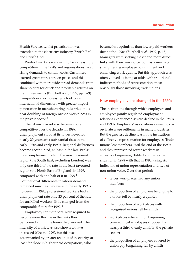Health Service, whilst privatisation was extended to the electricity industry, British Rail and British Coal.

Product markets were said to be increasingly competitive in the 1990s and organisations faced rising demands to contain costs. Customers exerted greater pressure on prices and this combined with more widespread demands from shareholders for quick and profitable returns on their investments (Burchell *et al*., 1999, pp. 5–9). Competition also increasingly took on an international dimension, with greater import penetration in manufacturing industries and a near doubling of foreign-owned workplaces in the private sector.3

The labour market also became more competitive over the decade. In 1999, unemployment stood at its lowest level for nearly 20 years after substantial rises in the early 1980s and early 1990s. Regional differences became accentuated, at least in the late 1990s: the unemployment rate in the most favoured region (the South East, excluding London) was only one-third of the rate in the least favoured region (the North East of England) in 1999, compared with one-half of it in 1995.4 Occupational differences in labour demand remained much as they were in the early 1990s, however. In 1998, professional workers had an unemployment rate only 23 per cent of the rate for unskilled workers, little changed from the comparable figure for 1992.5

Employees, for their part, were required to become more flexible in the tasks they performed and in the hours they worked. The intensity of work was also shown to have increased (Green, 1999), but this was accompanied by greater feelings of insecurity, at least for those in higher paid occupations, who

became less optimistic than lower paid workers during the 1990s (Burchell *et al*., 1999, p. 18). Managers were seeking closer and more direct links with their workforce, both as a means of strengthening employee commitment and enhancing work quality. But this approach was often viewed as being at odds with traditional, indirect methods of representation, most obviously those involving trade unions.

#### **How employee voice changed in the 1990s**

The institutions through which employers and employees jointly regulated employment relations experienced severe decline in the 1980s and 1990s. Employers' associations ceased to coordinate wage settlements in many industries. But the greatest decline was in the institutions of collective representation for employees. Trade unions lost members until the end of the 1990s and they represented fewer workers in collective bargaining. Table 1 compares the situation in 1998 with that in 1990, using six indicators of union representation and two of non-union voice. Over that period:

- fewer workplaces had any union members
- the proportion of employees belonging to a union fell by nearly a quarter
- the proportion of workplaces with recognised unions fell by a fifth
- workplaces where union bargaining covered most employees dropped by nearly a third (nearly a half in the private sector)
- the proportion of employees covered by union pay bargaining fell by a fifth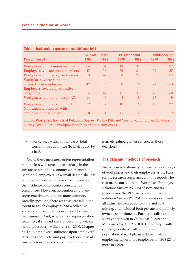|                                   | All workplaces |      | <b>Private sector</b> |      | <b>Public sector</b> |               |
|-----------------------------------|----------------|------|-----------------------|------|----------------------|---------------|
| Percentage of                     | 1990           | 1998 | 1990                  | 1998 | 1990                 | 1998          |
| Workplaces with a union member    | 64             | 54   | 49                    | 37   | 99                   | 97            |
| Employees who are union members   | 47             | 36   | 36                    | 26   | 72                   | 57            |
| Workplaces with recognised unions | 53             | 42   | 38                    | 25   | 87                   | 87            |
| Workplaces where bargaining       |                |      |                       |      |                      |               |
| covered most employees            | 42             | 29   | 30                    | 16   | 71                   | 63            |
| Employees covered by collective   |                |      |                       |      |                      |               |
| bargaining                        | 54             | 44   | 41                    | 33   | 78                   | 68            |
| Workplaces with union-based JCC   | 14             | 6    | 8                     | 3    | 27                   | 9             |
| Workplaces with non-union JCC     | 12             | 17   | 10                    | 16   | 18                   | 22            |
| Non-union workplaces with         |                |      |                       |      |                      |               |
| employee representative           | 10             | 11   | 11                    | 12   | $\Omega$             | $\mathcal{P}$ |

## **Table 1 Trade union representation, 1990 and 1998**

Source: Workplace Industrial Relations Survey (WIRS) 1990 and Workplace Employee Relations Survey (WERS) 1998; workplaces with 25 or more employees.

• workplaces with a union-based joint consultative committee (JCC) dropped by a half.

On all these measures, union representation became less widespread, particularly in the private sector of the economy where most people are employed. To a small degree, the loss of union representation was offset by a rise in the incidence of non-union consultative committees. However, non-union employee representatives became no more common. Broadly speaking, there was a severe fall in the extent to which employees had a collective voice to represent their concerns and views to management. And, where union representation remained, it showed signs of becoming weaker in many respects (Millward *et al*., 2000, Chapter 5). Thus, employees' influence upon employers' decisions about jobs and pay levels declined at a time when increased competition in product

markets gained greater salience in those decisions.

## **The data and methods of research**

We have used nationally representative surveys of workplaces and their employees as the basis for the research summarised in this report. The two main sources are the Workplace Employee Relations Survey (WERS) of 1998 and its predecessor, the 1990 Workplace Industrial Relations Survey (WIRS). The surveys covered all industries except agriculture and coal mining, and included both private and publicly owned establishments. Further details of the surveys are given in Cully *et al*. (1999) and Millward *et al*. (1992, 2000). The survey results can be generalised with confidence to the population of workplaces in Great Britain employing ten or more employees in 1998 (25 or more in 1990).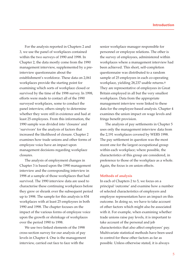For the analysis reported in Chapters 2 and 3, we use the panel of workplaces contained within the two surveys of 1990 and 1998. In Chapter 2, the data mostly come from the 1990 management interview, supplemented by a preinterview questionnaire about the establishment's workforce. These data on 2,061 workplaces provide the starting point for examining which sorts of workplace closed or survived by the time of the 1998 survey. In 1998, efforts were made to contact all of the 1990 surveyed workplaces, some to conduct the panel interview, others simply to determine whether they were still in existence and had at least 25 employees. From this information, the 1990 sample was divided into 'closures' and 'survivors' for the analysis of factors that increased the likelihood of closure. Chapter 2 examines how trade unions and other forms of employee voice have an impact upon management decisions regarding workplace closures.

The analysis of employment changes in Chapter 3 is based upon the 1990 management interview and the corresponding interview in 1998 at a sample of those workplaces that had survived. The 1990 interview data are used to characterise these continuing workplaces before they grew or shrank over the subsequent period up to 1998. The sample for this analysis is 834 workplaces with at least 25 employees in both 1990 and 1998. The chapter focuses on the impact of the various forms of employee voice upon the growth or shrinkage of workplaces over the period 1990 to 1998.

We use two linked elements of the 1998 cross-section survey for our analysis of pay levels in Chapter 4. One is the management interview, carried out face to face with the

senior workplace manager responsible for personnel or employee relations. The other is the survey of employees, administered within workplaces where a management interview had been achieved. This short, self-completion questionnaire was distributed to a random sample of 25 employees in each co-operating workplace, yielding 28,237 usable returns.6 They are representative of employees in Great Britain employed in all but the very smallest workplaces. Data from the appropriate management interview were linked to these data for the employee-based analysis. Chapter 4 examines the union impact on wage levels and fringe benefit provision.

The analysis of pay settlements in Chapter 5 uses only the management interview data from the 2,191 workplaces covered by WERS 1998. The pay settlement in question was the most recent one for the largest occupational group within each workplace; where possible, the characteristics of this group are considered, in preference to those of the workplace as a whole. Again, the focus is on union effects.

#### **Methods of analysis**

In each of Chapters 2 to 5, we focus on a principal 'outcome' and examine how a number of selected characteristics of employers and employee representation have an impact on this outcome. In doing so, we have to take account of other factors which might also be associated with it. For example, when examining whether trade unions raise pay levels, it is important to take account of the personal and job characteristics that also affect employees' pay. Multivariate statistical methods have been used to control for these other factors as far as possible. Unless otherwise stated, it is always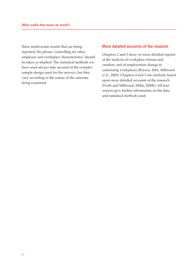these multivariate results that are being reported; the phrase 'controlling for other employee and workplace characteristics' should be taken as implied. The statistical methods we have used always take account of the complex sample design used for the surveys, but they vary according to the nature of the outcome being examined.

# **More detailed accounts of the research**

Chapters 2 and 3 draw on more detailed reports of the analysis of workplace closure and creation, and of employment change in continuing workplaces (Bryson, 2001; Millward *et al*., 2000). Chapters 4 and 5 are similarly based upon more detailed accounts of the research (Forth and Millward, 2000a, 2000b). All four sources give further information on the data and statistical methods used.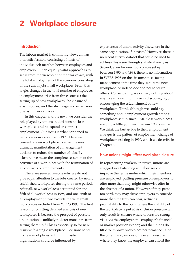# **2 Workplace closure**

# **Introduction**

The labour market is commonly viewed in an atomistic fashion, consisting of hosts of individual job matches between employees and employers. But an equally valid approach is to see it from the viewpoint of the workplace, with the total employment of the economy consisting of the sum of jobs in all workplaces. From this angle, changes in the total number of employees in employment arise from three sources: the setting up of new workplaces; the closure of existing ones; and the shrinkage and expansion of existing workplaces.

In this chapter and the next, we consider the role played by unions in decisions to close workplaces and to expand or contract employment. Our focus is what happened to workplaces in existence in 1990. Here we concentrate on workplace closure, the most dramatic manifestation of a management decision to reduce the number of jobs. By 'closure' we mean the complete cessation of the activities of a workplace with the termination of all contracts of employment.1

There are several reasons why we do not give equal attention to the jobs created by newly established workplaces during the same period. After all, new workplaces accounted for onefifth of all workplaces in 1998, and one-sixth of all employment, if we exclude the very small workplaces excluded from WERS 1998. The first reason for omitting detailed analysis of new workplaces is because the prospect of possible unionisation is unlikely to deter managers from setting them up.2 This is especially so for new firms with a single workplace. Decisions to set up new workplaces within multi-site organisations could be influenced by

experiences of union activity elsewhere in the same organisation, if it exists.3 However, there is no recent survey dataset that could be used to address this issue through statistical analysis. Second, even for new workplaces set up between 1990 and 1998, there is no information in WERS 1998 on the circumstances facing management at the time they set up the new workplace, or indeed decided not to set up others. Consequently, we can say nothing about any role unions might have in discouraging or encouraging the establishment of new workplaces. Third, although we could say something about employment growth among workplaces set up since 1990, these workplaces are only a little younger than our 1990 sample. We think the best guide to their employment changes is the pattern of employment change of workplaces existing in 1990, which we describe in Chapter 3.

#### **How unions might affect workplace closure**

In representing workers' interests, unions are engaged in a balancing act. They seek to improve the terms under which their members are employed, putting pressure on employers to offer more than they might otherwise offer in the absence of a union. However, if they press too hard, they may drive employers to concede more than the firm can bear, reducing profitability to the point where the viability of the workplace is put at risk. Union pressure will only result in closure where unions are strong vis-à-vis the employer, the employer's financial or market position is poor, and the unions do little to improve workplace performance. If, on the other hand, unions only exert pressure where they know the employer can afford the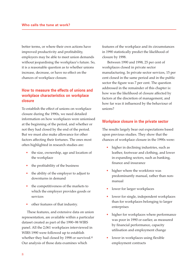better terms, or where their own actions have improved productivity and profitability, employers may be able to meet union demands without jeopardising the workplace's future. So, it is a reasonable question as to whether unions increase, decrease, or have no effect on the chances of workplace closure.

# **How to measure the effects of unions and workplace characteristics on workplace closure**

To establish the effect of unions on workplace closure during the 1990s, we need detailed information on how workplaces were unionised at the beginning of the period, and whether or not they had closed by the end of the period. But we must also make allowance for other factors affecting their fortunes. The ones most often highlighted in research studies are:

- the size, ownership, age and location of the workplace
- the profitability of the business
- the ability of the employer to adjust to downturns in demand
- the competitiveness of the markets to which the employer provides goods or services
- other features of that industry.

These features, and extensive data on union representation, are available within a particular dataset created as part of the 1990–98 WIRS panel. All the 2,061 workplaces interviewed in WIRS 1990 were followed up to establish whether they had closed by 1998 or survived.4 Our analysis of those data examines which

features of the workplace and its circumstances in 1990 statistically predict the likelihood of closure by 1998.

Between 1990 and 1998, 25 per cent of workplaces closed in private sector manufacturing. In private sector services, 15 per cent closed in the same period and in the public sector the figure was 7 per cent. The question addressed in the remainder of this chapter is: how was the likelihood of closure affected by factors at the discretion of management, and how far was it influenced by the behaviour of unions?

#### **Workplace closure in the private sector**

The results largely bear out expectations based upon previous studies. They show that the chances of workplace closure in the 1990s were:

- higher in declining industries, such as leather, footwear and clothing, and lower in expanding sectors, such as banking, finance and insurance
- higher where the workforce was predominantly manual, rather than nonmanual
- lower for larger workplaces
- lower for single, independent workplaces than for workplaces belonging to larger enterprises
- higher for workplaces where performance was poor in 1990 or earlier, as measured by financial performance, capacity utilisation and employment change
- lower in workplaces using flexible employment contracts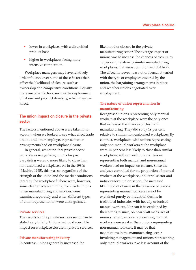- lower in workplaces with a diversified product base
- higher in workplaces facing more intensive competition.

Workplace managers may have relatively little influence over some of these factors that affect the likelihood of closure, such as ownership and competitive conditions. Equally, there are other factors, such as the deployment of labour and product diversity, which they can affect.

# **The union impact on closure in the private sector**

The factors mentioned above were taken into account when we looked to see what effect trade unions and other employee representation arrangements had on workplace closure.

In general, we found that private sector workplaces recognising unions for pay bargaining were no more likely to close than non-unionised workplaces. As in the 1980s (Machin, 1995), this was so, regardless of the strength of the union and the market conditions faced by the workplace.5 There were, however, some clear effects stemming from trade unions when manufacturing and services were examined separately and when different types of union representation were distinguished.

#### **Private services**

The results for the private services sector can be stated very briefly. Unions had no discernible impact on workplace closure in private services.

#### **Private manufacturing industry**

In contrast, unions generally increased the

likelihood of closure in the private manufacturing sector. The average impact of unions was to increase the chances of closure by 15 per cent, relative to similar manufacturing workplaces that were not unionised (Table 2). The effect, however, was not universal; it varied with the type of employees covered by the union, the bargaining arrangements in place and whether unions negotiated over employment.

# **The nature of union representation in manufacturing**

Recognised unions representing only manual workers at the workplace were the only ones that increased the chances of closure in manufacturing. They did so by 19 per cent, relative to similar non-unionised workplaces. By contrast, workplaces with unions representing only non-manual workers at the workplace were 14 per cent less likely to close than similar workplaces without such unions. Unions representing both manual and non-manual workers had no impact on closure. Since the analyses controlled for the proportion of manual workers at the workplace, industrial sector and industry-level unionisation, the increased likelihood of closure in the presence of unions representing manual workers cannot be explained purely by industrial decline in traditional industries with heavily unionised manual workers. Nor can it be explained by their strength since, on nearly all measures of union strength, unions representing manual workers were weaker than unions representing non-manual workers. It may be that negotiations in the manufacturing sector involving management and unions representing only manual workers take less account of the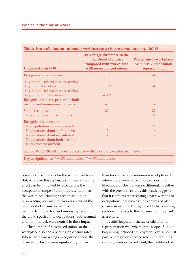| <b>Union status in 1990</b>                                               | Percentage difference in the<br>likelihood of closure<br>compared with workplaces<br>with no recognised unions | <b>Percentage of workplaces</b><br>with this kind of union<br>representation |
|---------------------------------------------------------------------------|----------------------------------------------------------------------------------------------------------------|------------------------------------------------------------------------------|
| Recognised unions present                                                 | $+15*$                                                                                                         | 44                                                                           |
| Any recognised union representing                                         |                                                                                                                |                                                                              |
| only manual workers                                                       | $+19**$                                                                                                        | 34                                                                           |
| Any recognised union representing                                         |                                                                                                                |                                                                              |
| only non-manual workers                                                   | $-14**$                                                                                                        | 9                                                                            |
| Recognised union representing both                                        |                                                                                                                |                                                                              |
| manual and non-manual workers                                             | $-3$                                                                                                           | 17                                                                           |
| Single recognised union                                                   | $+21*$                                                                                                         | 22                                                                           |
| Two or more recognised unions                                             | $+8$                                                                                                           | 22                                                                           |
| Recognised unions and:                                                    |                                                                                                                |                                                                              |
| No negotiation on employment                                              | $+19*$                                                                                                         | 26                                                                           |
| Negotiations about staffing levels                                        | $+13$                                                                                                          | 6                                                                            |
| Negotiations about recruitment                                            | $+7$                                                                                                           | $\overline{2}$                                                               |
| Negotiations about both staffing                                          |                                                                                                                |                                                                              |
| levels and recruitment                                                    | $+9$                                                                                                           | 10                                                                           |
| Source: WIRS 1990–98 panel; workplaces with 25 or more employees in 1990. |                                                                                                                |                                                                              |

**Table 2 Effects of unions on likelihood of workplace closure in private manufacturing, 1990–98**

possible consequences for the whole workforce. But, whatever the explanation, it seems that the effect can be mitigated by broadening the occupational scope of union representation at the workplace. Having a recognised union representing non-manual workers reduced the likelihood of closure in the private manufacturing sector; and unions representing the broad spectrum of occupations, both manual and non-manual, were neutral in their impact.

The number of recognised unions at the workplace also had a bearing on closure rates. Where there was a single recognised union, the chances of closure were significantly higher

than for comparable non-union workplaces. But, where there were two or more unions, the likelihood of closure was no different. Together with the previous results, this result suggests that it is unions representing a narrow range of occupations that increase the chances of plant closure in manufacturing, possibly by pursuing sectional interests to the detriment of the plant as a whole.

A third important characteristic of union representation was whether the scope of union bargaining included employment levels, not just pay. Where unions had no role in determining staffing levels or recruitment, the likelihood of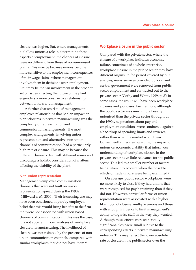closure was higher. But, where managements did allow unions a role in determining these aspects of employment, the chances of closure were no different from those of non-unionised plants. This may be because unions become more sensitive to the employment consequences of their wage claims where management involves them in decisions over employment. Or it may be that an involvement in the broader set of issues affecting the future of the plant engenders a more constructive relationship between unions and management.

A further characteristic of management– employee relationships that had an impact on plant closures in private manufacturing was the complexity of representation and communication arrangements. The most complex arrangements, involving union representation and alternative, non-union channels of communication, had a particularly high rate of closure. This may be because the different channels deal with different issues and discourage a holistic consideration of matters affecting the viability of the plant.

#### **Non-union representation**

Management–employee communication channels that were not built on union representation spread during the 1990s (Millward *et al*., 2000). Their increasing use may have been occasioned in part by employers' belief that this would bring benefits to the firm that were not associated with union-based channels of communication. If this was the case, it is not apparent in our analyses of workplace closure in manufacturing. The likelihood of closure was not reduced by the presence of nonunion communication channels, compared with similar workplaces that did not have them.<sup>6</sup>

### **Workplace closure in the public sector**

Compared with the private sector, where the closure of a workplace indicates economic failure, sometimes of a whole enterprise, workplace closure in the public sector may have different origins. In the period covered by our analysis, many services provided by local and central government were removed from public sector employment and contracted out to the private sector (Corby and White, 1999, p. 8); in some cases, the result will have been workplace closures and job losses. Furthermore, although the public sector was much more heavily unionised than the private sector throughout the 1990s, negotiations about pay and employment conditions were conducted against a backdrop of spending limits and reviews, rather than what the market would bear. Consequently, theories regarding the impact of unions on economic viability that inform our understanding of workplace closure in the private sector have little relevance for the public sector. This led to a smaller number of factors being taken into account when the possible effects of trade unions were being examined.7

On average, public sector workplaces were no more likely to close if they had unions that were recognised for pay bargaining than if they did not. However, particular forms of union representation were associated with a higher likelihood of closure: multiple unions and those with enough influence to limit management's ability to organise staff in the way they wanted. Although these effects were statistically significant, they were small relative to the corresponding effects in private manufacturing industry. This may reflect the lower absolute rate of closure in the public sector over the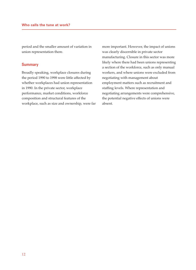period and the smaller amount of variation in union representation there.

### **Summary**

Broadly speaking, workplace closures during the period 1990 to 1998 were little affected by whether workplaces had union representation in 1990. In the private sector, workplace performance, market conditions, workforce composition and structural features of the workplace, such as size and ownership, were far more important. However, the impact of unions was clearly discernible in private sector manufacturing. Closure in this sector was more likely where there had been unions representing a section of the workforce, such as only manual workers, and where unions were excluded from negotiating with management about employment matters such as recruitment and staffing levels. Where representation and negotiating arrangements were comprehensive, the potential negative effects of unions were absent.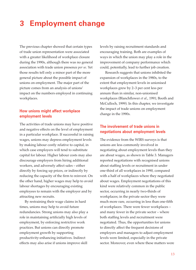# **3 Employment change**

The previous chapter showed that certain types of trade union representation were associated with a greater likelihood of workplace closure during the 1990s, although there was no general association with trade union presence *per se*. Yet those results tell only a minor part of the more general picture about the possible impact of unions on employment. The major part of the picture comes from an analysis of unions' impact on the numbers employed in continuing workplaces.

# **How unions might affect workplace employment levels**

The activities of trade unions may have positive and negative effects on the level of employment in a particular workplace. If successful in raising wages, unions may depress employment levels by making labour costly relative to capital, in which case employers will tend to substitute capital for labour. Higher labour costs may also discourage employers from hiring additional workers, and adversely affect sales – either directly by forcing up prices, or indirectly by reducing the capacity of the firm to reinvest. On the other hand, higher wages may help to avoid labour shortages by encouraging existing employees to remain with the employer and by attracting new recruits.

By restraining their wage claims in hard times, unions may help to avoid future redundancies. Strong unions may also play a role in maintaining artificially high levels of employment, by enforcing restrictive work practices. But unions can directly promote employment growth by supporting productivity-enhancing initiatives. Indirect effects may also arise if unions improve skill

levels by raising recruitment standards and encouraging training. Both are examples of ways in which the union may play a role in the improvement of company performance which could, potentially, lead to further job creation.

Research suggests that unions inhibited the expansion of workplaces in the 1980s, to the extent that employment levels in unionised workplaces grew by 2–3 per cent less per annum than in similar, non-unionised workplaces (Blanchflower *et al*., 1991; Booth and McCulloch, 1999). In this chapter, we investigate the impact of trade unions on employment change in the 1990s.

# **The involvement of trade unions in negotiations about employment levels**

The evidence from the WIRS surveys is that unions are less commonly involved in negotiating about employment levels than they are about wages, as shown in Table 3. Managers reported negotiations with recognised unions about staffing levels or recruitment in under one-third of all workplaces in 1990, compared with a half of workplaces where they negotiated about wages. Employment negotiations of this kind were relatively common in the public sector, occurring in nearly two-thirds of workplaces; in the private sector they were much more rare, occurring in less than one-fifth of workplaces. There were fewer workplaces – and many fewer in the private sector – where both staffing levels and recruitment were negotiated. Thus, the opportunities for unions to directly affect the frequent decisions of employers and managers to adjust employment levels were limited, especially in the private sector. Moreover, even where these matters were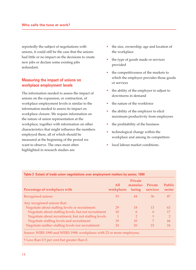reportedly the subject of negotiations with unions, it could still be the case that the unions had little or no impact on the decisions to create new jobs or declare some existing jobs redundant.

# **Measuring the impact of unions on workplace employment levels**

The information needed to assess the impact of unions on the expansion, or contraction, of workplace employment levels is similar to the information needed to assess its impact on workplace closure. We require information on the nature of union representation at the workplace, together with information on other characteristics that might influence the numbers employed there, all of which should be measured at the beginning of the period we want to observe. The ones most often highlighted in research studies are:

- the size, ownership, age and location of the workplace
- the type of goods made or services provided
- the competitiveness of the markets to which the employer provides those goods or services
- the ability of the employer to adjust to downturns in demand
- the nature of the workforce
- the ability of the employer to elicit maximum productivity from employees
- the profitability of the business
- technological change within the workplace and among its competitors
- local labour market conditions.

| Percentage of workplaces with                                          | All<br>workplaces | Private<br>manufac-<br>turing | Private<br>services | <b>Public</b><br>sector |
|------------------------------------------------------------------------|-------------------|-------------------------------|---------------------|-------------------------|
| Recognised unions                                                      | 53                | 44                            | 36                  | 87                      |
| Any recognised unions that:                                            |                   |                               |                     |                         |
| Negotiate about staffing levels or recruitment                         | 29                | 18                            | 13                  | 63                      |
| Negotiate about staffing levels, but not recruitment                   | 10                | 6                             | 6                   | 17                      |
| Negotiate about recruitment, but not staffing levels                   |                   | $\overline{2}$                | Ŧ                   | $\overline{2}$          |
| Negotiate staffing levels and recruitment                              | 19                | 10                            | 7                   | 44                      |
| Negotiate neither staffing levels nor recruitment                      | 24                | 26                            | 23                  | 24                      |
| Source: WIRS 1990 and WERS 1998; workplaces with 25 or more employees. |                   |                               |                     |                         |
| <sup>†</sup> Less than 0.5 per cent but greater than 0.                |                   |                               |                     |                         |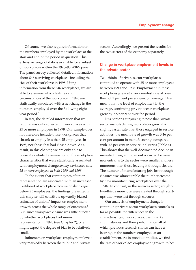Of course, we also require information on the numbers employed by the workplace at the start and end of the period in question. This extensive range of data is available for a subset of workplaces within the 1990–98 WIRS panel. The panel survey collected detailed information about 846 surviving workplaces, including the size of their workforce in 1998. Using information from these 846 workplaces, we are able to examine which features and circumstances of the workplace in 1990 are statistically associated with a net change in the numbers employed over the following eightyear period.1

In fact, the detailed information that we require was only collected in workplaces with 25 or more employees in 1998. Our sample does not therefore include those workplaces that shrank to employ less than 25 employees in 1998, nor those that had closed down. As a result, in this chapter, we are only able to present a detailed examination of the workplace characteristics that were statistically associated with employment change *among workplaces with 25 or more employees in both 1990 and 1998*.

To the extent that certain types of union representation are associated with an increased likelihood of workplace closure or shrinkage below 25 employees, the findings presented in this chapter will constitute upwardly biased estimates of unions' impact on employment growth across the whole range of outcomes.2 But, since workplace closure was little affected by whether workplaces had union representation in 1990 (see Chapter 2), one might expect the degree of bias to be relatively small.

Influences on workplace employment levels vary markedly between the public and private

sectors. Accordingly, we present the results for the two sectors of the economy separately.

# **Change in workplace employment levels in the private sector**

Two-thirds of private sector workplaces continued to operate with 25 or more employees between 1990 and 1998. Employment in these workplaces grew at a very modest rate of onethird of 1 per cent per annum, on average. This meant that the level of employment in the average, continuing private sector workplace grew by 2.8 per cent over the period.

It is perhaps surprising to note that private sector manufacturing workplaces grew at a slightly faster rate than those engaged in service activities: the mean rate of growth was 0.46 per cent per annum in manufacturing, compared with 0.3 per cent in service industries (Table 4). This shows that the well-documented decline in manufacturing employment occurred because new entrants to the sector were smaller and less numerous than those leaving it through closure. The number of manufacturing jobs lost through closures was almost treble the number created by new manufacturing workplaces over the 1990s. In contrast, in the services sector, roughly two-thirds more jobs were created through startups than were lost through closures.

Our analysis of employment change in continuing private sector workplaces controls as far as possible for differences in the characteristics of workplaces, their market circumstances and their performance, all of which previous research shows can have a bearing on the numbers employed at an establishment. As in previous studies, we find the rate of workplace employment growth to be: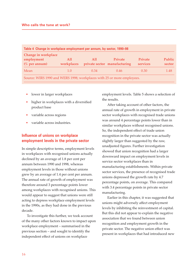| Private | Private                      |                                                                        |
|---------|------------------------------|------------------------------------------------------------------------|
|         | services                     | Public<br>sector                                                       |
| 0.46    | 0.30                         | 1.48                                                                   |
|         | private sector manufacturing | Source: WIRS 1990 and WERS 1998; workplaces with 25 or more employees. |

- lower in larger workplaces
- higher in workplaces with a diversified product base
- variable across regions
- variable across industries.

# **Influence of unions on workplace employment levels in the private sector**

In simple descriptive terms, employment levels in workplaces with recognised unions actually declined by an average of 1.8 per cent per annum between 1990 and 1998, whereas employment levels in those without unions grew by an average of 1.4 per cent per annum. The annual rate of growth of employment was therefore around 3 percentage points lower among workplaces with recognised unions. This would appear to suggest that unions were still acting to depress workplace employment levels in the 1990s, as they had done in the previous decade.

To investigate this further, we took account of the many other factors known to impact upon workplace employment – summarised in the previous section – and sought to identify the independent effect of unions on workplace

employment levels. Table 5 shows a selection of the results.

After taking account of other factors, the annual rate of growth in employment in private sector workplaces with recognised trade unions was around 4 percentage points lower than in similar workplaces without recognised unions. So, the independent effect of trade union recognition in the private sector was actually slightly larger than suggested by the raw, unadjusted figures. Further investigation showed that union recognition had a larger downward impact on employment levels in service sector workplaces than in manufacturing establishments. Within private sector services, the presence of recognised trade unions depressed the growth rate by 4.7 percentage points, on average. This compared with 3.4 percentage points in private sector manufacturing.

Earlier in this chapter, it was suggested that unions might adversely affect employment levels by inhibiting the reinvestment of capital. But this did not appear to explain the negative association that we found between union recognition and employment growth in the private sector. The negative union effect was present in workplaces that had introduced new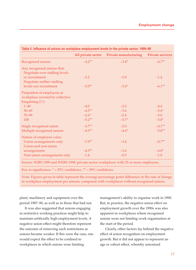|                                                  |           | All private sector Private manufacturing | <b>Private services</b> |
|--------------------------------------------------|-----------|------------------------------------------|-------------------------|
| Recognised unions                                | $-4.2***$ | $-3.4*$                                  | $-4.7***$               |
| Any recognised unions that:                      |           |                                          |                         |
| Negotiate over staffing levels<br>or recruitment | $-2.2$    | $-2.8$                                   | $-1.4$                  |
| Negotiate neither staffing                       |           |                                          |                         |
| levels nor recruitment                           | $-5.0**$  | $-3.6*$                                  | $-6.1***$               |
| Proportion of employees at                       |           |                                          |                         |
| workplace covered by collective                  |           |                                          |                         |
| bargaining $(\% )$ :                             |           |                                          |                         |
| $1 - 49$                                         | $-4.0$    | $-2.0$                                   | $-4.4$                  |
| $50 - 69$                                        | $-4.5***$ | $-3.6$                                   | $-5.6*$                 |
| $70 - 99$                                        | $-2.6*$   | $-2.4$                                   | $-3.0$                  |
| 100                                              | $-5.2**$  | $-5.7*$                                  | $-5.0*$                 |
| Single recognised union                          | $-3.7**$  | $-2.0$                                   | $-4.1***$               |
| Multiple recognised unions                       | $-4.9**$  | $-4.6*$                                  | $-5.8**$                |
| Nature of employee voice:                        |           |                                          |                         |
| Union arrangements only                          | $-7.0**$  | $-3.4$                                   | $-8.7**$                |
| Union and non-union                              |           |                                          |                         |
| arrangements                                     | $-4.3**$  | $-3.6$                                   | $-4.8*$                 |
| Non-union arrangements only                      | $-1.4$    | $-0.5$                                   | $-1.8$                  |

Source: WIRS 1990 and WERS 1998; private sector workplaces with 25 or more employees.

Key to significance:  $* = 95\%$  confidence;  $** = 99\%$  confidence.

Note: Figures given in table represent the average percentage point difference in the rate of change in workplace employment per annum, compared with workplaces without recognised unions.

plant, machinery and equipment over the period 1987–90, as well as in those that had not.

It was also suggested that unions engaging in restrictive working practices might help to maintain artificially high employment levels. A negative union effect might therefore represent the outcome of removing such restrictions as unions became weaker. If this were the case, one would expect the effect to be confined to workplaces in which unions were limiting

management's ability to organise work in 1990. But, in practice, the negative union effect on employment growth over the 1990s was also apparent in workplaces where recognised unions were not limiting work organisation at the start of the period.

Clearly, other factors lay behind the negative effect of union recognition on employment growth. But it did not appear to represent an age or cohort effect, whereby unionised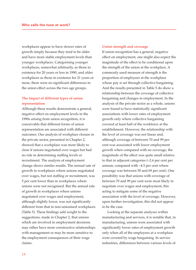workplaces appear to have slower rates of growth simply because they tend to be older and have more stable employment levels than younger workplaces. Categorising younger workplaces, somewhat arbitrarily, as those in existence for 20 years or less in 1990, and older workplaces as those in existence for 21 years or more, there were no significant differences in the union effect across the two age groups.

## **The impact of different types of union representation**

Although these results demonstrate a general, negative effect on employment levels in the 1990s arising from union recognition, it is conceivable that different forms of union representation are associated with different outcomes. Our analysis of workplace closure in the private sector, presented in Chapter 2, showed that a workplace was more likely to close if unions negotiated over wages but had no role in determining staffing levels or recruitment. The analysis of employment change shows similar results. The annual rate of growth in workplaces where unions negotiated over wages, but not staffing or recruitment, was 5 per cent lower than in workplaces where unions were not recognised. But the annual rate of growth in workplaces where unions negotiated over wages and employment, although slightly lower, was not significantly different from that in non-unionised workplaces (Table 5). These findings add weight to the suggestions, made in Chapter 2, that unions which are involved in employment decisions may either have more constructive relationships with management or may be more sensitive to the employment consequences of their wage claims.

#### **Union strength and coverage**

If union recognition has a general, negative effect on employment, one might also expect the magnitude of the effect to be conditional upon the strength of the union at the workplace. A commonly used measure of strength is the proportion of employees at the workplace whose pay is set through collective bargaining. And the results presented in Table 5 do show a relationship between the coverage of collective bargaining and changes in employment. In the analysis of the private sector as a whole, unions were found to have statistically significant associations with lower rates of employment growth only where collective bargaining covered at least half of the workforce at the establishment. However, the relationship with the level of coverage was not linear and, although coverage of between 70 and 99 per cent was associated with lower employment growth when compared with no coverage, the magnitude of the effect was quite small relative to that in adjacent categories (–2.6 per cent per annum, compared with –4.5 per cent where coverage was between 50 and 69 per cent). One possibility was that unions with coverage of between 70 and 99 per cent were most likely to negotiate over wages and employment, this acting to mitigate some of the negative association with the level of coverage. However, upon further investigation, this did not appear to be the case.

Looking at the separate analyses within manufacturing and services, it is notable that, in manufacturing, unions were associated with significantly lower rates of employment growth only when all of the employees at a workplace were covered by wage bargaining. In service industries, differences between various levels of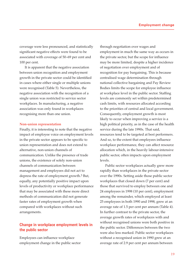coverage were less pronounced, and statistically significant negative effects were found to be associated with coverage of 50–69 per cent and 100 per cent.

It is apparent that the negative association between union recognition and employment growth in the private sector could be identified in cases where either single or multiple unions were recognised (Table 5). Nevertheless, the negative association with the recognition of a single union was restricted to service sector workplaces. In manufacturing, a negative association was only found in workplaces recognising more than one union.

#### **Non-union representation**

Finally, it is interesting to note that the negative impact of employee voice on employment levels in the private sector appears to be specific to union representation and does not extend to alternative, non-union channels of communication. Unlike the presence of trade unions, the existence of solely non-union channels of communication between management and employees did not act to depress the rate of employment growth.3 But, equally, any potentially positive impact upon levels of productivity or workplace performance that may be associated with these more direct methods of communication did not generate faster rates of employment growth when compared with workplaces without such arrangements.

# **Change in workplace employment levels in the public sector**

Employees can influence workplace employment change in the public sector through negotiation over wages and employment in much the same way as occurs in the private sector, but the scope for influence may be more limited, despite a higher incidence of negotiation over employment and of recognition for pay bargaining. This is because centralised wage determination through national collective bargaining and Pay Review Bodies limits the scope for employee influence at workplace level in the public sector. Staffing levels are commonly set within predetermined cash limits, with resources allocated according to the priorities of central and local government. Consequently, employment growth is most likely to occur when improving a service is a high political priority, as in the case of the health service during the late 1990s. That said, resources tend to be targeted at best performers. And so, to the extent that employees influence workplace performance, they can affect resource allocation which, in the heavily labour-intensive public sector, often impacts upon employment levels.

Public sector workplaces actually grew more rapidly than workplaces in the private sector over the 1990s. Setting aside those public sector workplaces that closed down (7 per cent) and those that survived to employ between one and 24 employees in 1998 (10 per cent), employment among the remainder, which employed at least 25 employees in both 1990 and 1998, grew at an average rate of 1.5 per cent per annum (Table 4). In further contrast to the private sector, the average growth rates of workplaces with and without recognised unions were both positive in the public sector. Differences between the two were also less marked. Public sector workplaces without a recognised union in 1990 grew at an average rate of 2.9 per cent per annum between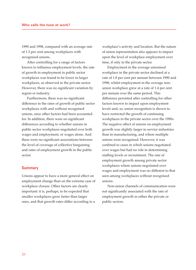1990 and 1998, compared with an average rate of 1.3 per cent among workplaces with recognised unions.

After controlling for a range of factors known to influence employment levels, the rate of growth in employment in public sector workplaces was found to be lower in larger workplaces, as observed in the private sector. However, there was no significant variation by region or industry.

Furthermore, there was no significant difference in the rates of growth of public sector workplaces with and without recognised unions, once other factors had been accounted for. In addition, there were no significant differences according to whether unions in public sector workplaces negotiated over both wages and employment, or wages alone. And there were no significant associations between the level of coverage of collective bargaining and rates of employment growth in the public sector.

#### **Summary**

Unions appear to have a more general effect on employment change than on the extreme case of workplace closure. Other factors are clearly important: it is, perhaps, to be expected that smaller workplaces grow faster than larger ones, and that growth rates differ according to a

workplace's activity and location. But the nature of union representation also appears to impact upon the level of workplace employment over time, if only in the private sector.

Employment in the average unionised workplace in the private sector declined at a rate of 1.8 per cent per annum between 1990 and 1998, whilst employment in the average nonunion workplace grew at a rate of 1.4 per cent per annum over the same period. This difference persisted after controlling for other factors known to impact upon employment levels and, so, union recognition is shown to have restricted the growth of continuing workplaces in the private sector over the 1990s. The negative effect of unions on employment growth was slightly larger in service industries than in manufacturing, and where multiple unions were recognised. However, it was confined to cases in which unions negotiated over wages but had no role in determining staffing levels or recruitment. The rate of employment growth among private sector workplaces where unions negotiated over wages and employment was no different to that seen among workplaces without recognised unions.

Non-union channels of communication were not significantly associated with the rate of employment growth in either the private or public sectors.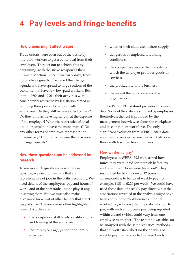# **4 Pay levels and fringe benefits**

## **How unions might affect wages**

Trade unions were born out of the desire by low-paid workers to get a better deal from their employers. They set out to achieve this by bargaining, with the strike weapon as their ultimate sanction. Since those early days, trade unions have greatly broadened their bargaining agenda and have spread to large sections of the economy that have few low-paid workers. But, in the 1980s and 1990s, their activities were considerably restricted by legislation aimed at reducing their power to bargain with employers. Do they still have an effect on pay? Do they only achieve higher pay at the expense of the employer? What characteristics of local union organisation have the most impact? Do any other forms of employee representation increase pay? Do unions increase the provision of fringe benefits?

# **How these questions can be addressed by research**

To answer such questions as securely as possible, we need to use data that are representative of jobs in the British economy. We need details of the employees' pay and hours of work, and of the part trade unions play, if any, in setting them. But we must also make allowance for a host of other factors that affect people's pay. The ones most often highlighted in research studies are:

- the occupation, skill levels, qualifications and training of the employee
- the employee's age, gender and family situation
- whether their skills are in short supply
- dangerous or unpleasant working conditions
- the competitiveness of the markets to which the employer provides goods or services
- the profitability of the business
- the size of the workplace and the organisation.

The WERS 1998 dataset provides this mix of data. Some of the data are supplied by employees themselves; the rest is provided by the management interviewee about the workplace and its component workforce. The only significant exclusion from WERS 1998 is data about employees in the smallest workplaces – those with less than ten employees.

### **How we define 'pay'**

Employees in WERS 1998 were asked how much they were 'paid for their job before tax and other deductions were taken out'. They responded by ticking one of 12 boxes corresponding to bands of weekly pay (for example, £181 to £220 per week). We could have used these data on weekly pay directly, but the associations revealed in the analysis might have been confounded by differences in hours worked. So, we converted the data into hourly pay, with each employee's pay being reported within a band (which could vary from one employee to another). The resulting variable can be analysed with the same statistical methods that are well established for the analysis of weekly pay that is reported in fixed bands.1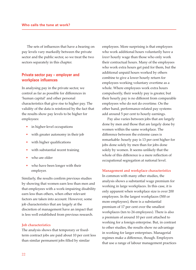The sets of influences that have a bearing on pay levels vary markedly between the private sector and the public sector, so we treat the two sectors separately in this chapter.

# **Private sector pay – employer and workplace influences**

In analysing pay in the private sector, we control as far as possible for differences in 'human capital' and other personal characteristics that give rise to higher pay. The validity of the data is reinforced by the fact that the results show pay levels to be higher for employees:

- in higher-level occupations
- with greater autonomy in their job
- with higher qualifications
- with substantial recent training
- who are older
- who have been longer with their employer.

Similarly, the results confirm previous studies by showing that women earn less than men and that employees with a work-impairing disability earn less than others, when other relevant factors are taken into account. However, some job characteristics that are largely at the discretion of management have an impact that is less well established from previous research.

#### **Job characteristics**

The analysis shows that temporary or fixedterm contract jobs are paid about 10 per cent less than similar permanent jobs filled by similar

employees. More surprising is that employees who work additional hours voluntarily have a *lower* hourly wage than those who only work their contractual hours. Many of the employees who work extra hours get paid for them, but the additional unpaid hours worked by others combine to give a lower hourly return for employees working voluntary overtime as a whole. Where employees work extra hours compulsorily, their weekly pay is greater, but their hourly pay is no different from comparable employees who do not do overtime. On the other hand, performance-related pay systems add around 5 per cent to hourly earnings.

Pay also varies between jobs that are largely done by men and those that are largely done by women within the same workplace. The difference between the extreme cases is remarkable: hourly pay is 13 per cent higher for jobs done solely by men than for jobs done solely by women. It seems unlikely that the whole of this difference is a mere reflection of occupational segregation at national level.

#### **Management and workplace characteristics**

In common with many other studies, the analysis shows a substantial wage premium for working in large workplaces. In this case, it is only apparent when workplace size is over 200 employees. In the largest workplaces (500 or more employees), there is a substantial premium of 17 per cent over the smallest workplaces (ten to 24 employees). There is also a premium of around 10 per cent attached to working for a foreign enterprise. But, in contrast to other studies, the results show no advantage in working for larger enterprises. Managerial regimes make a difference, though. Employers that use a range of labour management practices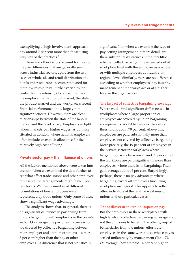exemplifying a 'high involvement' approach pay around 7 per cent more than those using very few of the practices.2

These and other factors account for most of the pay differences that are generally seen across industrial sectors, apart from the two cases of wholesale and retail distribution and hotels and restaurants, sectors renowned for their low rates of pay. Further variables that control for the intensity of competition faced by the employer in the product market, the state of the product market and the workplace's recent financial performance show largely nonsignificant effects. However, there are clear relationships between the state of the labour market and the level of pay. Employers in tight labour markets pay higher wages, as do those situated in London, where national employers often include an explicit allowance for the relatively high cost of living.

## **Private sector pay – the influence of unions**

All the factors mentioned above were taken into account when we examined the data further to see what effect trade unions and other employee representation arrangements might have upon pay levels. We tried a number of different formulations of how employees were represented by trade unions. Only some of these show a significant wage advantage.

The analysis shows that, in general, there is no significant difference in pay arising from unions bargaining with employers in the private sector. On average, the pay of employees who are covered by collective bargaining between their employer and a union or unions is a mere 3 per cent higher than the pay of other employees – a difference that is not statistically

significant. Nor, when we examine the type of pay-setting arrangement in more detail, are there substantial differences. It matters little whether collective bargaining is carried out at workplace level with the employer as a whole or with multiple employers at industry or regional level. Similarly, there are no differences according to whether employees' pay is set by management at the workplace or at a higher level in the organisation.

#### **The impact of collective bargaining coverage**

Where we do find significant differences is in workplaces where a large proportion of employees are covered by union bargaining arrangements. As Table 6 shows, the critical threshold is about 70 per cent. Above this, employees are paid substantially more than employees not covered by collective bargaining. More precisely, the 19 per cent of employees in the private sector in workplaces where bargaining covers between 70 and 99 per cent of the workforce are paid significantly more than employees where there is no bargaining. Their gain averages about 9 per cent. Surprisingly, perhaps, there is no pay advantage where bargaining covers all employees (including workplace managers). This appears to reflect other indicators of the relative weakness of unions in these particular cases.

#### **The spillover of the union impact on pay**

But the employees in these workplaces with high levels of collective bargaining coverage are not the only ones to benefit. The other group of beneficiaries from the unions' efforts are employees in the same workplaces whose pay is settled unilaterally by management (Table 7). On average, they are paid 14 per cent higher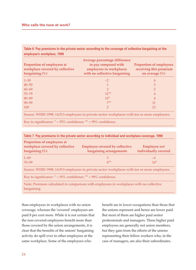**Table 6 Pay premiums in the private sector according to the coverage of collective bargaining at the employee's workplace, 1998**

| Proportion of employees at<br>workplace covered by collective<br>bargaining $(\%)$           | Average percentage difference<br>in pay compared with<br>employees in workplaces<br>with no collective bargaining | <b>Proportion of employees</b><br>receiving this premium<br>on average $(\%)$ |
|----------------------------------------------------------------------------------------------|-------------------------------------------------------------------------------------------------------------------|-------------------------------------------------------------------------------|
| $1 - 39$                                                                                     | $-2$                                                                                                              | $\overline{4}$                                                                |
| $40 - 59$                                                                                    |                                                                                                                   | 3                                                                             |
| $60 - 69$                                                                                    | っ                                                                                                                 | റ                                                                             |
| $70 - 79$                                                                                    | $12**$                                                                                                            | 4                                                                             |
| 80-89                                                                                        | $10*$                                                                                                             | 4                                                                             |
| $90 - 99$                                                                                    | $7**$                                                                                                             | 11                                                                            |
| 100                                                                                          | ヮ                                                                                                                 | 12                                                                            |
| Source: WERS 1998; 14,913 employees in private sector workplaces with ten or more employees. |                                                                                                                   |                                                                               |

Key to significance:  $* = 95\%$  confidence;  $** = 99\%$  confidence.

| Table 7 Pay premiums in the private sector according to individual and workplace coverage, 1998 |                                                                                              |                                             |  |  |
|-------------------------------------------------------------------------------------------------|----------------------------------------------------------------------------------------------|---------------------------------------------|--|--|
| Proportion of employees at<br>workplace covered by collective<br>bargaining $(\%)$              | <b>Employee covered by collective</b><br>bargaining arrangements                             | <b>Employee not</b><br>individually covered |  |  |
| $1 - 69$                                                                                        | З                                                                                            | $-4$                                        |  |  |
| $70 - 99$                                                                                       | $8**$                                                                                        | $14*$                                       |  |  |
|                                                                                                 | Source: WERS 1998; 14,913 employees in private sector workplaces with ten or more employees. |                                             |  |  |
| Key to significance: $* = 95\%$ confidence; $** = 99\%$ confidence.                             |                                                                                              |                                             |  |  |
|                                                                                                 | Note: Promium calculated in comparison with employees in workplaces with no collective       |                                             |  |  |

Note: Premium calculated in comparison with employees in workplaces with no collective bargaining.

than employees in workplaces with no union coverage, whereas the 'covered' employees are paid 8 per cent more. While it is not certain that the non-covered employees benefit more than those covered by the union arrangements, it is clear that the benefits of the unions' bargaining activity do spill over to other employees at the same workplace. Some of the employees who

benefit are in lower occupations than those that the unions represent and hence are lower paid. But most of them are higher paid senior professionals and managers. These higher paid employees are generally not union members, but they gain from the efforts of the unions representing their fellow workers who, in the case of managers, are also their subordinates.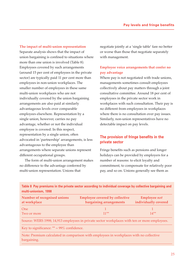#### **The impact of multi-union representation**

Separate analysis shows that the impact of union bargaining is confined to situations where more than one union is involved (Table 8). Employees covered by such arrangements (around 15 per cent of employees in the private sector) are typically paid 11 per cent more than employees in non-union workplaces. The smaller number of employees in these same multi-union workplaces who are not individually covered by the union bargaining arrangements are also paid at similarly advantageous levels over comparable employees elsewhere. Representation by a single union, however, carries no pay advantage, whether or not the individual employee is covered. In this respect, representation by a single union, often advocated in 'partnership' arrangements, is less advantageous to the employee than arrangements where separate unions represent different occupational groups.

The form of multi-union arrangement makes no difference to the advantage conferred by multi-union representation. Unions that

negotiate jointly at a 'single table' fare no better or worse than those that negotiate separately with management.

# **Employee voice arrangements that confer no pay advantage**

Where pay is not negotiated with trade unions, managements sometimes consult employees collectively about pay matters through a joint consultative committee. Around 18 per cent of employees in the private sector work in workplaces with such consultation. Their pay is no different from employees in workplaces where there is no consultation over pay issues. Similarly, non-union representatives have no detectable impact on pay levels.

# **The provision of fringe benefits in the private sector**

Fringe benefits such as pensions and longer holidays can be provided by employers for a number of reasons: to elicit loyalty and commitment, to compensate for relatively poor pay, and so on. Unions generally see them as

| multi-unionism, 1998                         |                                                                                              |                                             |
|----------------------------------------------|----------------------------------------------------------------------------------------------|---------------------------------------------|
| Number of recognised unions<br>at workplace  | <b>Employee covered by collective</b><br>bargaining arrangements                             | <b>Employee</b> not<br>individually covered |
| <b>One</b>                                   |                                                                                              |                                             |
| Two or more                                  | $11***$                                                                                      | $14***$                                     |
|                                              | Source: WERS 1998; 14,913 employees in private sector workplaces with ten or more employees. |                                             |
| Key to significance: $** = 99\%$ confidence. |                                                                                              |                                             |
| bargaining.                                  | Note: Premium calculated in comparison with employees in workplaces with no collective       |                                             |

**Table 8 Pay premiums in the private sector according to individual coverage by collective bargaining and**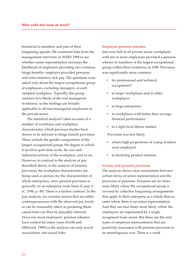beneficial to members and part of their bargaining agenda. We examined data from the management interview in WERS 1998 to see whether union representation increases the likelihood of employers providing two common fringe benefits: employer-provided pensions and extra-statutory sick pay. The questions were asked only about the largest occupational group of employees, excluding managers, at each sampled workplace. Typically, this group contains two-thirds of the non-managerial workforce, so the findings are broadly applicable to all non-managerial employees in the private sector.

The statistical analysis<sup>3</sup> takes account of a number of workforce and workplace characteristics which previous studies have shown to be relevant to fringe benefit provision. These include the gender composition of the largest occupational group, the degree to which it involves part-time work, the size and industrial activity of the workplace, and so on. However, in contrast to the analysis of pay described above, in the analysis of pension provision, the workplace characteristics are being used as proxies for the characteristics of whole enterprises, since pension provision is generally on an enterprise-wide basis (Casey *et al*., 1996, p. 49). There is a further contrast. In the pay analysis, we examine factors that are either contemporaneous with the observed pay levels or can be reasonably taken as predating them; causal links can thus be plausibly inferred. However, most employers' pension schemes have existed for many years (Forth and Millward, 1999) so the analysis can only reveal associations, not causal links.

#### **Employer pension schemes**

Just over half of all private sector workplaces with ten or more employees provided a pension scheme to members of the largest occupational group within their workforce in 1998. Provision was significantly more common:

- for professional and technical occupations4
- in larger workplaces and in older workplaces
- in large enterprises
- in workplaces with better than average financial performance
- in a tight local labour market.

Provision was less likely:

- where high proportions of young workers were employed
- in declining product markets.

#### **Unions and pension provision**

The analysis shows clear associations between certain forms of union representation and the provision of pensions. Pensions are six times more likely where the occupational group is covered by collective bargaining arrangements that apply to their enterprise as a whole than in cases where there is no union representation. And they are four times more likely where the employees are represented by a single recognised trade union. But these are the only types of employee representation that are positively associated with pension provision in an unambiguous way. There is a weak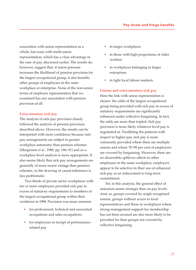association with union representation as a whole, but none with multi-union representation, which has a clear advantage in the case of pay, discussed earlier. The results do, however, suggest that, if union pressure increases the likelihood of pension provision for the largest occupational group, it also benefits other groups of employees in the same workplace or enterprise. None of the non-union forms of employee representation that we examined has any association with pension provision at all.

#### **Extra-statutory sick pay**

The analysis of sick-pay provision closely followed the analysis of pension provision, described above. However, the results can be interpreted with more confidence because sickpay arrangements are subject to greater workplace autonomy than pension schemes (Marginson *et al*., 1988, pp. 186–91) and so a workplace-level analysis is more appropriate. It also seems likely that sick-pay arrangements are generally of more recent vintage than pension schemes, so the drawing of causal inferences is less problematic.

Two-thirds of private sector workplaces with ten or more employees provided sick pay in excess of statutory requirements to members of the largest occupational group within their workforce in 1998. Provision was more common:

- for professional, technical and associated occupations and sales occupations
- for employees in receipt of performancerelated pay
- in larger workplaces
- in those with high proportions of older workers
- in workplaces belonging to larger enterprises
- in tight local labour markets.

#### **Unions and extra-statutory sick pay**

Here the link with union representation is clearer: the odds of the largest occupational group being provided with sick pay in excess of statutory requirements are significantly enhanced under collective bargaining. In fact, the odds are more than tripled. Sick pay provision is more likely whatever level pay is negotiated at. Paralleling the patterns with respect to higher pay, sick pay is more commonly provided where there are multiple unions and where 70–99 per cent of employees are covered by bargaining. However, there are no discernible spillover effects to other employees in the same workplace; employers appear to be selective in their use of enhanced sick-pay as an inducement to long-term commitment.

Yet, in this analysis, the general effect of unionism seems stronger than on pay levels. And, so, groups covered by single recognised unions, groups without access to local representatives and those in workplaces where strong management support for membership has not been secured are also more likely to be provided for than groups not covered by collective bargaining.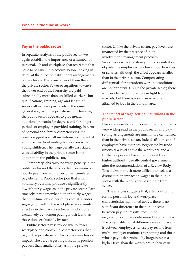#### **Pay in the public sector**

In separate analysis of the public sector, we again establish the importance of a number of personal, job and workplace characteristics that have to be taken into account before looking in detail at the effect of institutional arrangements on pay levels. There are fewer of them than in the private sector. Fewer occupations towards the lower end of the hierarchy are paid substantially more than unskilled workers, but qualifications, training, age and length of service all increase pay levels in the same general way as in the private sector. However, the public sector appears to give greater additional rewards for degrees and for longer periods of employer-provided training. In terms of personal and family characteristics, the results suggest a small male–female differential and no extra disadvantage for women with young children. The wage penalty associated with disability in the private sector is not apparent in the public sector.

Temporary jobs carry no wage penalty in the public sector and there is no clear premium on hourly pay from having performance-related pay elements. Public sector jobs that entail voluntary overtime produce a significantly lower hourly wage, as in the private sector. Parttime jobs pay somewhat higher hourly wages than full-time jobs, other things equal. Gender segregation within the workplace has a similar effect as in the private sector, with jobs done exclusively by women paying much less than those done exclusively by men.

Public sector pay is responsive to fewer workplace and contextual characteristics than pay in the private sector. Workplace size has no impact. The very largest organisations possibly pay less than smaller ones, as in the private

sector. Unlike the private sector, pay levels are unaffected by the presence of 'highinvolvement' management practices. Workplaces with a relatively high concentration of part-time employees pay lower hourly wages or salaries, although the effect appears smaller than in the private sector. Compensating differentials for hazardous working conditions are not apparent. Unlike the private sector, there is no evidence of higher pay in tight labour markets, but there is a similar-sized premium attached to jobs in the London area.

## **The impact of wage-setting institutions in the public sector**

Union representation of some form or another is very widespread in the public sector and paysetting arrangements are much more centralised than in the private sector. Indeed, 63 per cent of employees have their pay negotiated by trade unions at a level above the workplace and a further 22 per cent have their pay set by a higher authority, usually central government after the recommendations of a Review Body. This makes it much more difficult to isolate a distinct union impact on wages in the public sector with the workplace-based data from WERS.

The analysis suggests that, after controlling for the personal, job and workplace characteristics mentioned above, there is no significant difference in the public sector between pay that results from union negotiations and pay determined in other ways. The only institutional difference we can discern is between employees whose pay results from multi-employer (national) bargaining and those whose pay is determined by bargaining at a higher level than the workplace in their own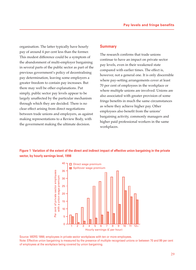organisation. The latter typically have hourly pay of around 4 per cent less than the former. This modest difference could be a symptom of the abandonment of multi-employer bargaining in several parts of the public sector as part of the previous government's policy of decentralising pay determination, leaving some employers a greater freedom to contain pay increases. But there may well be other explanations. Put simply, public sector pay levels appear to be largely unaffected by the particular mechanism through which they are decided. There is no clear effect arising from direct negotiations between trade unions and employers, as against making representations to a Review Body, with the government making the ultimate decision.

### **Summary**

The research confirms that trade unions continue to have an impact on private sector pay levels, even in their weakened state compared with earlier times. The effect is, however, not a general one. It is only discernible where pay-setting arrangements cover at least 70 per cent of employees in the workplace or where multiple unions are involved. Unions are also associated with greater provision of some fringe benefits in much the same circumstances as where they achieve higher pay. Other employees also benefit from the unions' bargaining activity, commonly managers and higher paid professional workers in the same workplaces.

**Figure 1 Variation of the extent of the direct and indirect impact of effective union bargaining in the private sector, by hourly earnings level, 1998**



Source: WERS 1998; employees in private sector workplaces with ten or more employees. Note: Effective union bargaining is measured by the presence of multiple recognised unions or between 70 and 99 per cent of employees at the workplace being covered by union bargaining.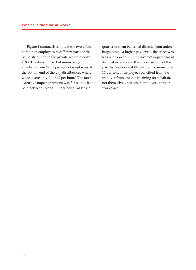Figure 1 summarises how these two effects bore upon employees at different parts of the pay distribution in the private sector in early 1998. The direct impact of union bargaining affected a mere 6 or 7 per cent of employees at the bottom end of the pay distribution, where wages were only £1 or £2 per hour.<sup>5</sup> The most extensive impact of unions was for people being paid between £5 and £10 per hour – at least a

quarter of them benefited directly from union bargaining. At higher pay levels, the effect was less widespread. But the indirect impact was at its most extensive in this upper section of the pay distribution – at £10 an hour or more, over 15 per cent of employees benefited from the spillover from union bargaining on behalf of, not themselves, but other employees at their workplace.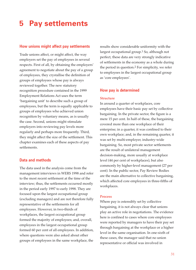# **5 Pay settlements**

## **How unions might affect pay settlements**

Trade unions affect, or might affect, the way employers set the pay of employees in several respects. First of all, by obtaining the employers' agreement to negotiate about the pay of a group of employees, they crystallise the definition of groups of employees whose pay is always reviewed together. The new statutory recognition procedure contained in the 1999 Employment Relations Act uses the term 'bargaining unit' to describe such a group of employees, but the term is equally applicable to groups of employees who achieved union recognition by voluntary means, as is usually the case. Second, unions might stimulate employers into reviewing pay levels more regularly and perhaps more frequently. Third, they might affect the size of the settlement. This chapter examines each of these aspects of pay settlements.

# **Data and methods**

The data used in the analysis come from the management interviews in WERS 1998 and refer to the most recent settlement at the time of the interview; thus, the settlements occurred mostly in the period early 1997 to early 1998. They are focused upon the largest occupational group (excluding managers) and are not therefore fully representative of the settlements for all employees. However, in two-thirds of workplaces, the largest occupational group formed the majority of employees; and, overall, employees in the largest occupational group formed 60 per cent of all employees. In addition, where questions were also asked about other groups of employees in the same workplace, the

results show considerable uniformity with the largest occupational group.1 So, although not perfect, these data are very strongly indicative of settlements in the economy as a whole during the period in question.2 For simplicity, we refer to employees in the largest occupational group as 'core employees'.

### **How pay is determined**

#### **Structure**

In around a quarter of workplaces, core employees have their basic pay set by collective bargaining. In the private sector, the figure is a mere 15 per cent. In half of these, the bargaining covered more than one workplace of their enterprise; in a quarter, it was confined to their own workplace; and, in the remaining quarter, it was set by multi-employer, industry-wide bargaining. So, most private sector settlements are the result of unilateral management decision-making, more usually at workplace level (44 per cent of workplaces), but also commonly by higher-level management (27 per cent). In the public sector, Pay Review Bodies are the main alternative to collective bargaining, which affected core employees in three-fifths of workplaces.

#### **Process**

Where pay is ostensibly set by collective bargaining, it is not always clear that unions play an active role in negotiations. The evidence here is confined to cases where core employees were reported by managers to have their pay set through bargaining at the workplace or a higher level in the same organisation. In one-sixth of these cases, the manager said that no union representative or official was involved in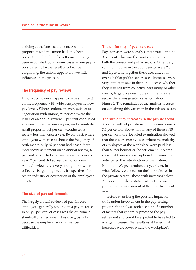arriving at the latest settlement. A similar proportion said the union had only been consulted, rather than the settlement having been negotiated. So, in many cases where pay is considered to be the result of collective bargaining, the unions appear to have little influence on the process.

#### **The frequency of pay reviews**

Unions do, however, appear to have an impact on the frequency with which employers review pay levels. Where settlements were subject to negotiation with unions, 96 per cent were the result of an annual review; 1 per cent conducted a review more than once a year; and a similarly small proportion (2 per cent) conducted a review less than once a year. By contrast, where employers were free to choose the frequency of settlements, only 86 per cent had based their most recent settlement on an annual review; 6 per cent conducted a review more than once a year; 7 per cent did so less than once a year. Annual reviews are a very strong norm where collective bargaining occurs, irrespective of the sector, industry or occupation of the employees affected.

#### **The size of pay settlements**

The largely annual reviews of pay for core employees generally resulted in a pay increase. In only 3 per cent of cases was the outcome a standstill or a decrease in basic pay, usually because the employer was in financial difficulties.

#### **The uniformity of pay increases**

Pay increases were heavily concentrated around 3 per cent. This was the most common figure in both the private and public sectors. Other very common figures in the public sector were 2.5 and 2 per cent; together these accounted for over a half of public sector cases. Increases were very similar in size in the public sector, whether they resulted from collective bargaining or other means, largely Review Bodies. In the private sector, there was greater variation, shown in Figure 2. The remainder of the analysis focuses on explaining this variation in the private sector.

#### **The size of pay increases in the private sector**

About a tenth of private sector increases were of 7.5 per cent or above, with many of these at 10 per cent or more. Detailed examination showed that these were mostly cases where the majority of employees at the workplace were paid less than £4 per hour after the settlement. It seems clear that these were exceptional increases that anticipated the introduction of the National Minimum Wage, introduced a year later. In what follows, we focus on the bulk of cases in the private sector – those with increases below 7.5 per cent – where statistical analysis can provide some assessment of the main factors at work.3

Before examining the possible impact of trade union involvement in the pay-setting process, the analysis took account of a number of factors that generally preceded the pay settlement and could be expected to have led to a larger increase. The results established that increases were lower where the workplace's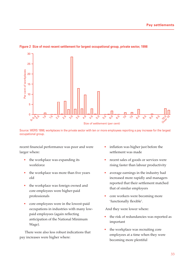

#### **Figure 2 Size of most recent settlement for largest occupational group, private sector, 1998**

Source: WERS 1998; workplaces in the private sector with ten or more employees reporting a pay increase for the largest occupational group.

recent financial performance was poor and were larger where:

- the workplace was expanding its workforce
- the workplace was more than five years old
- the workplace was foreign owned and core employees were higher-paid professionals
- core employees were in the lowest-paid occupations in industries with many lowpaid employees (again reflecting anticipation of the National Minimum Wage).

There were also less robust indications that pay increases were higher where:

- inflation was higher just before the settlement was made
- recent sales of goods or services were rising faster than labour productivity
- average earnings in the industry had increased more rapidly and managers reported that their settlement matched that of similar employers
- core workers were becoming more 'functionally flexible'.

And they were lower where:

- the risk of redundancies was reported as important
- the workplace was recruiting core employees at a time when they were becoming more plentiful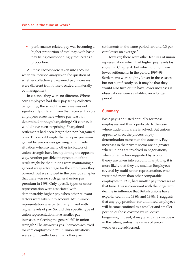• performance-related pay was becoming a higher proportion of total pay, with basic pay being correspondingly reduced as a proportion.

All these factors were taken into account when we focused analysis on the question of whether collectively bargained pay increases were different from those decided unilaterally by management.

In essence, they were no different. Where core employees had their pay set by collective bargaining, the size of the increase was not significantly different from that received by core employees elsewhere whose pay was not determined through bargaining.4 Of course, it would have been surprising if bargained settlements had been larger than non-bargained ones. This would imply that any pay premium gained by unions was growing, an unlikely situation when so many other indicators of union strength have been pointing the opposite way. Another possible interpretation of the result might be that unions were maintaining a general wage advantage for the employees they covered. But we showed in the previous chapter that there was no such general union pay premium in 1998. Only specific types of union representation were associated with demonstrably higher pay when other relevant factors were taken into account. Multi-union representation was particularly linked with higher levels of pay. So, did this specific type of union representation have smaller pay increases, reflecting the general fall in union strength? The answer is yes. Increases achieved for core employees in multi-union situations were significantly lower than other pay

settlements in the same period, around 0.3 per cent lower on average.5

However, there were other features of union representation which had higher pay levels (as shown in Chapter 4) but which did not have lower settlements in the period 1997–98. Settlements were slightly lower in these cases, but not significantly so. It may be that they would also turn out to have lower increases if observations were available over a longer period.

#### **Summary**

Basic pay is adjusted annually for most employees and this is particularly the case where trade unions are involved. But unions appear to affect the process of pay determination more than the outcome. Pay increases in the private sector are no greater where unions are involved in negotiations, when other factors suggested by economic theory are taken into account. If anything, it is more likely that they are smaller. Employees covered by multi-union representation, who were paid more than other comparable employees in 1998, had smaller pay increases at that time. This is consonant with the long-term decline in influence that British unions have experienced in the 1980s and 1990s. It suggests that any pay premium for unionised employees will become confined to a smaller and smaller portion of those covered by collective bargaining. Indeed, it may gradually disappear in the future, unless the causes of union weakness are addressed.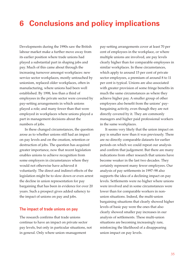# **6 Conclusions and policy implications**

Developments during the 1990s saw the British labour market make a further move away from its earlier position where trade unions had played a substantial part in shaping jobs and pay. Much of this came about through the increasing turnover amongst workplaces: new service sector workplaces, mostly untouched by unionism, replaced older workplaces, often in manufacturing, where unions had been well established. By 1998, less than a third of employees in the private sector were covered by pay-setting arrangements in which unions played a role; and many fewer than that were employed in workplaces where unions played a part in management decisions about the numbers of jobs.

In these changed circumstances, the question arose as to whether unions still had an impact on pay levels and on the creation, retention or destruction of jobs. The question has acquired greater importance, now that recent legislation enables unions to achieve recognition from some employers in circumstances where they would not otherwise have achieved it voluntarily. The direct and indirect effects of the legislation might be to slow down or even arrest the decline in union representation for pay bargaining that has been in evidence for over 20 years. Such a prospect gives added saliency to the impact of unions on pay and jobs.

### **The impact of trade unions on pay**

The research confirms that trade unions continue to have an impact on private sector pay levels, but only in particular situations, not in general. Only where union–management

pay-setting arrangements cover at least 70 per cent of employees in the workplace, or where multiple unions are involved, are pay levels clearly higher than for comparable employees in similar workplaces. In these circumstances, which apply to around 15 per cent of private sector employees, a premium of around 8 to 11 per cent is typical. Unions are also associated with greater provision of some fringe benefits in much the same circumstances as where they achieve higher pay. A smaller group of other employees also benefit from the unions' paybargaining activity, even though they are not directly covered by it. They are commonly managers and higher paid professional workers in the same workplaces.

It seems very likely that the union impact on pay is smaller now than it was previously. There are no directly comparable datasets for earlier periods on which we could repeat our analysis and confirm that judgement. But there are many indications from other research that unions have become weaker in the last two decades. They certainly represent many fewer employees. Our analysis of pay settlements in 1997–98 also supports the idea of a declining impact on pay levels. Settlements were no higher where unions were involved and in some circumstances were lower than for comparable workers in nonunion situations. Indeed, the multi-union bargaining situations that clearly showed higher levels of basic pay were the ones that also clearly showed smaller pay increases in our analysis of settlements. These multi-union situations are becoming increasingly rare, reinforcing the likelihood of a disappearing union impact on pay levels.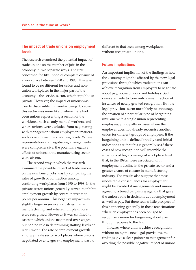# **The impact of trade unions on employment levels**

The research examined the potential impact of trade unions on the number of jobs in the economy in two separate ways. The first concerned the likelihood of complete closure of a workplace between 1990 and 1998. This was found to be no different for union and nonunion workplaces in the major part of the economy – the service sector, whether public or private. However, the impact of unions was clearly discernible in manufacturing. Closure in this sector was more likely where there had been unions representing a section of the workforce, such as only manual workers, and where unions were excluded from negotiating with management about employment matters, such as recruitment and staffing levels. Where representation and negotiating arrangements were comprehensive, the potential negative effects of unions in the manufacturing sector were absent.

The second way in which the research examined the possible impact of trade unions on the numbers of jobs was by comparing the rates of growth or contraction among continuing workplaces from 1990 to 1998. In the private sector, unions generally served to inhibit employment growth by several percentage points per annum. This negative impact was slightly larger in service industries than in manufacturing, and where multiple unions were recognised. However, it was confined to cases in which unions negotiated over wages but had no role in determining staffing levels or recruitment. The rate of employment growth among private sector workplaces where unions negotiated over wages *and* employment was no

different to that seen among workplaces without recognised unions.

### **Future implications**

An important implication of the findings is how the economy might be affected by the new legal provisions through which trade unions can achieve recognition from employers to negotiate about pay, hours of work and holidays. Such cases are likely to form only a small fraction of instances of newly granted recognition. But the legal provisions seem most likely to encourage the creation of a particular type of bargaining unit: one with a single union representing employees, principally in cases where the employer does not already recognise another union for different groups of employees. If the bargaining unit is defined broadly (and initial indications are that this is generally so), $1$  these cases of new recognition will resemble the situations of high coverage at workplace level that, in the 1990s, were associated with employment decline in the private sector and a greater chance of closure in manufacturing industry. The results also suggest that these undesirable consequences for employment might be avoided if managements and unions agreed to a broad bargaining agenda that gave the union a role in decisions about employment as well as pay. But there seems little prospect of this happening generally in those few situations where an employer has been obliged to recognise a union for bargaining about pay through recourse to the law.

In cases where unions achieve recognition without using the new legal provisions, the findings give a clear pointer to management for avoiding the possible negative impact of unions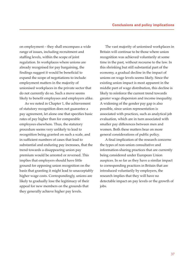on employment – they shall encompass a wide range of issues, including recruitment and staffing levels, within the scope of joint regulation. In workplaces where unions are already recognised for pay bargaining, the findings suggest it would be beneficial to expand the scope of negotiations to include employment matters in the majority of unionised workplaces in the private sector that do not currently do so. Such a move seems likely to benefit employees and employers alike.

As we noted in Chapter 1, the achievement of statutory recognition does not guarantee a pay agreement, let alone one that specifies basic rates of pay higher than for comparable employees elsewhere. Thus, the statutory procedure seems very unlikely to lead to recognition being granted on such a scale, and in sufficient numbers of cases that lead to substantial and enduring pay increases, that the trend towards a disappearing union pay premium would be arrested or reversed. This implies that employers should have little ground for opposing union recognition on the basis that granting it might lead to unacceptably higher wage costs. Correspondingly, unions are likely to gradually lose the legitimacy of their appeal for new members on the grounds that they generally achieve higher pay levels.

The vast majority of unionised workplaces in Britain will continue to be those where union recognition was achieved voluntarily at some time in the past, without recourse to the law. In this shrinking but still substantial part of the economy, a gradual decline in the impact of unions on wage levels seems likely. Since the existing union impact is most apparent in the middle part of wage distribution, this decline is likely to reinforce the current trend towards greater wage dispersion and income inequality. A widening of the gender pay gap is also possible, since union representation is associated with practices, such as analytical job evaluation, which are in turn associated with smaller pay differences between men and women. Both these matters bear on more general considerations of public policy.

A final implication of the research concerns the types of non-union consultative and information-sharing practices that are currently being considered under European Union auspices. In so far as they have a similar impact to corresponding practices in Britain that are introduced voluntarily by employers, the research implies that they will have no detectable impact on pay levels or the growth of jobs.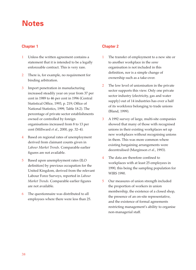# **Notes**

# **Chapter 1**

- 1 Unless the written agreement contains a statement that it is intended to be a legally enforceable contract. This is very rare.
- 2 There is, for example, no requirement for binding arbitration.
- 3 Import penetration in manufacturing increased steadily year on year from 37 per cent in 1989 to 46 per cent in 1996 (Central Statistical Office, 1993, p. 219; Office of National Statistics, 1999, Table 18.2). The percentage of private sector establishments owned or controlled by foreign organisations increased from 8 to 13 per cent (Millward *et al*., 2000, pp. 32–4).
- 4 Based on regional rates of unemployment derived from claimant counts given in *Labour Market Trends.* Comparable earlier figures are not available.
- 5 Based upon unemployment rates (ILO definition) by previous occupation for the United Kingdom, derived from the relevant Labour Force Surveys, reported in *Labour Market Trends.* Comparable earlier figures are not available.
- 6 The questionnaire was distributed to all employees where there were less than 25.

# **Chapter 2**

- 1 The transfer of employment to a new site or to another workplace in the *same* organisation is not included in this definition, nor is a simple change of ownership such as a take-over.
- 2 The low level of unionisation in the private sector supports this view. Only one private sector industry (electricity, gas and water supply) out of 14 industries has over a half of its workforce belonging to trade unions (Bland, 1999).
- 3 A 1992 survey of large, multi-site companies showed that many of those with recognised unions in their existing workplaces set up new workplaces without recognising unions in them. This was more common where existing bargaining arrangements were decentralised (Marginson *et al*., 1993).
- 4 The data are therefore confined to workplaces with at least 25 employees in 1990, this being the sampling population for WIRS 1990.
- 5 Our measures of union strength included the proportion of workers in union membership, the existence of a closed shop, the presence of an on-site representative, and the existence of formal agreements restricting management's ability to organise non-managerial staff.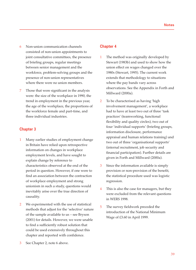- 6 Non-union communication channels consisted of non-union appointments to joint consultative committees, the presence of briefing groups, regular meetings between senior management and the workforce, problem-solving groups and the presence of non-union representatives where there were no union members.
- 7 Those that were significant in the analysis were: the size of the workplace in 1990, the trend in employment in the previous year, the age of the workplace, the proportions of the workforce female and part-time, and three individual industries.

# **Chapter 3**

- 1 Many earlier studies of employment change in Britain have relied upon retrospective information on changes in workplace employment levels, and have sought to explain change by reference to characteristics observed at the end of the period in question. However, if one were to find an association between the contraction of workplace employment and strong unionism in such a study, questions would inevitably arise over the true direction of causality.
- 2 We experimented with the use of statistical methods that adjust for the 'selective' nature of the sample available to us – see Bryson (2001) for details. However, we were unable to find a sufficiently robust solution that could be used extensively throughout this chapter and reported with confidence.
- See Chapter 2, note 6 above.

# **Chapter 4**

- 1 The method was originally developed by Stewart (1983b) and used to show how the union effect on wages changed over the 1980s (Stewart, 1995). The current work extends that methodology to situations where the pay bands vary across observations. See the Appendix in Forth and Millward (2000a).
- 2 To be characterised as having 'high involvement management', a workplace had to have at least two out of three 'task practices' (teamworking, functional flexibility and quality circles), two out of four 'individual supports' (briefing groups, information disclosure, performance appraisal and human relations training) and two out of three 'organisational supports' (internal recruitment, job security and financial participation). Further details are given in Forth and Millward (2000a).
- 3 Since the information available is simply provision or non-provision of the benefit, the statistical procedure used was logistic regression.
- 4 This is also the case for managers, but they were excluded from the relevant questions in WERS 1998.
- 5 The survey fieldwork preceded the introduction of the National Minimum Wage of £3.60 in April 1999.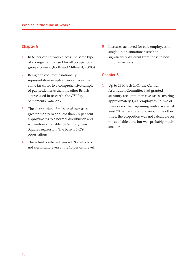## **Chapter 5**

- 1 In 68 per cent of workplaces, the same type of arrangement is used for all occupational groups present (Forth and Millward, 2000b).
- 2 Being derived from a nationally representative sample of workplaces, they come far closer to a comprehensive sample of pay settlements than the other British source used in research, the CBI Pay Settlements Databank.
- 3 The distribution of the size of increases greater than zero and less than 7.5 per cent approximates to a normal distribution and is therefore amenable to Ordinary Least Squares regression. The base is 1,079 observations.
- 4 The actual coefficient was –0.093, which is not significant, even at the 10 per cent level.

5 Increases achieved for core employees in single-union situations were not significantly different from those in nonunion situations.

## **Chapter 6**

1 Up to 23 March 2001, the Central Arbitration Committee had granted statutory recognition in five cases covering approximately 1,400 employees. In two of these cases, the bargaining units covered at least 70 per cent of employees; in the other three, the proportion was not calculable on the available data, but was probably much smaller.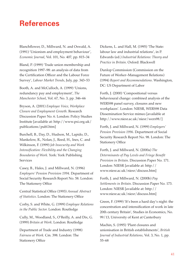# **References**

Blanchflower, D., Millward, N. and Oswald, A. (1991) 'Unionism and employment behaviour', *Economic Journal*, Vol. 101, No. 407, pp. 815–34

Bland, P. (1999) 'Trade union membership and recognition 1997–98: an analysis of data from the Certification Officer and the Labour Force Survey', *Labour Market Trends*, July, pp. 343–53

Booth, A. and McCulloch, A. (1999) 'Unions, redundancy pay and employment', *The Manchester School*, Vol. 67, No. 3, pp. 346–66

Bryson, A. (2001) *Employee Voice, Workplace Closure and Employment Growth*. Research Discussion Paper No. 6. London: Policy Studies Institute [available at: http://www.psi.org.uk/ publications/publ.htm]

Burchell, B., Day, D., Hudson, M., Lapido, D., Mankelow, R., Nolan, J., Reed, H., Ines, C. and Wilkinson, F. (1999) *Job Insecurity and Work Intensification: Flexibility and the Changing Boundaries of Work*. York: York Publishing Services

Casey, B., Hales, J. and Millward, N. (1996) *Employers' Pension Provision 1994*. Department of Social Security Research Report No. 58. London: The Stationery Office

Central Statistical Office (1993) *Annual Abstract of Statistics*. London: The Stationery Office

Corby, S. and White, G. (1999) *Employee Relations in the Public Sector.* London: Routledge

Cully, M., Woodland, S., O'Reilly, A. and Dix, G. (1999) *Britain at Work*. London: Routledge

Department of Trade and Industry (1998) *Fairness at Work.* Cm. 398. London: The Stationery Office

Dickens, L. and Hall, M. (1995) 'The State: labour law and industrial relations', in P. Edwards (ed.) *Industrial Relations: Theory and Practice in Britain*. Oxford: Blackwell

Dunlop Commission (Commission on the Future of Worker–Management Relations) (1994) *Report and Recommendations*. Washington, DC: US Department of Labor

Forth, J. (2000) 'Compositional versus behavioural change: combined analysis of the WERS98 panel survey, closures and new workplaces'. London: NIESR, WERS98 Data Dissemination Service mimeo [available at http://www.niesr.ac.uk/niesr/wers98/]

Forth, J. and Millward, N. (1999) *Employers' Pension Provision 1996.* Department of Social Security Research Report No. 98. London: The Stationery Office

Forth, J. and Millward, N. (2000a) *The Determinants of Pay Levels and Fringe Benefit Provision in Britain*. Discussion Paper No. 171. London: NIESR [available at: http:// www.niesr.ac.uk/niesr/discuss.htm]

Forth, J. and Millward, N. (2000b) *Pay Settlements in Britain*. Discussion Paper No. 173. London: NIESR [available at: http:// www.niesr.ac.uk/niesr/discuss.htm]

Green, F. (1999) 'It's been a hard day's night: the concentration and intensification of work in late 20th century Britain', Studies in Economics, No. 99/13, University of Kent at Canterbury

Machin, S. (1995) 'Plant closures and unionisation in British establishments', *British Journal of Industrial Relations,* Vol. 3, No. 1, pp. 55–68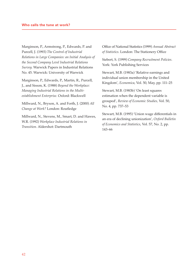Marginson, P., Armstrong, P., Edwards, P. and Purcell, J. (1993) *The Control of Industrial Relations in Large Companies: an Initial Analysis of the Second Company Level Industrial Relations Survey.* Warwick Papers in Industrial Relations No. 45. Warwick: University of Warwick

Marginson, P., Edwards, P., Martin, R., Purcell, J., and Sisson, K. (1988) *Beyond the Workplace: Managing Industrial Relations in the Multiestablishment Enterprise.* Oxford: Blackwell

Millward, N., Bryson, A. and Forth, J. (2000) *All Change at Work?* London: Routledge

Millward, N., Stevens, M., Smart, D. and Hawes, W.R. (1992) *Workplace Industrial Relations in Transition.* Aldershot: Dartmouth

Office of National Statistics (1999) *Annual Abstract of Statistics*. London: The Stationery Office

Siebert, S. (1999) *Company Recruitment Policies*. York: York Publishing Services

Stewart, M.B. (1983a) 'Relative earnings and individual union membership in the United Kingdom', *Economica*, Vol. 50, May, pp. 111–25

Stewart, M.B. (1983b) 'On least squares estimation when the dependent variable is grouped', *Review of Economic Studies,* Vol. 50, No. 4, pp. 737–53

Stewart, M.B. (1995) 'Union wage differentials in an era of declining unionization', *Oxford Bulletin of Economics and Statistics*, Vol. 57, No. 2, pp. 143–66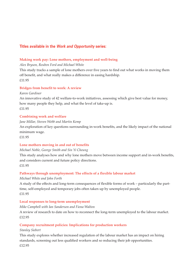# **Titles available in the Work and Opportunity series:**

#### **Making work pay: Lone mothers, employment and well-being**

#### *Alex Bryson, Reuben Ford and Michael White*

This study tracks a sample of lone mothers over five years to find out what works in moving them off benefit, and what really makes a difference in easing hardship. £11.95

#### **Bridges from benefit to work: A review**

#### *Karen Gardiner*

An innovative study of 42 welfare-to-work initiatives, assessing which give best value for money, how many people they help, and what the level of take-up is. £11.95

#### **Combining work and welfare**

## *Jane Millar, Steven Webb and Martin Kemp*

An exploration of key questions surrounding in-work benefits, and the likely impact of the national minimum wage.

£11.95

### **Lone mothers moving in and out of benefits**

#### *Michael Noble, George Smith and Sin Yi Cheung*

This study analyses how and why lone mothers move between income support and in-work benefits, and considers current and future policy directions. £11.95

### **Pathways through unemployment: The effects of a flexible labour market**

#### *Michael White and John Forth*

A study of the effects and long-term consequences of flexible forms of work – particularly the parttime, self-employed and temporary jobs often taken up by unemployed people. £11.95

#### **Local responses to long-term unemployment**

#### *Mike Campbell with Ian Sanderson and Fiona Walton*

A review of research to date on how to reconnect the long-term unemployed to the labour market. £12.95

### **Company recruitment policies: Implications for production workers**

#### *Stanley Siebert*

This study explores whether increased regulation of the labour market has an impact on hiring standards, screening out less qualified workers and so reducing their job opportunities. £12.95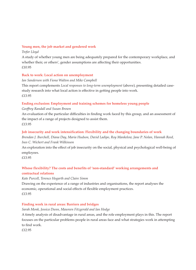#### **Young men, the job market and gendered work**

#### *Trefor Lloyd*

A study of whether young men are being adequately prepared for the contemporary workplace, and whether their, or others', gender assumptions are affecting their opportunities. £10.95

### **Back to work: Local action on unemployment**

#### *Ian Sanderson with Fiona Walton and Mike Campbell*

This report complements *Local responses to long-term unemployment* (above), presenting detailed casestudy research into what local action is effective in getting people into work. £13.95

## **Ending exclusion: Employment and training schemes for homeless young people**

### *Geoffrey Randall and Susan Brown*

An evaluation of the particular difficulties in finding work faced by this group, and an assessment of the impact of a range of projects designed to assist them. £13.95

## **Job insecurity and work intensification: Flexibility and the changing boundaries of work**

*Brendan J. Burchell, Diana Day, Maria Hudson, David Ladipo, Roy Mankelow, Jane P. Nolan, Hannah Reed, Ines C. Wichert and Frank Wilkinson*

An exploration into the effect of job insecurity on the social, physical and psychological well-being of employees.

£13.95

# **Whose flexibility? The costs and benefits of 'non-standard' working arrangements and contractual relations**

### *Kate Purcell, Terence Hogarth and Claire Simm*

Drawing on the experience of a range of industries and organisations, the report analyses the economic, operational and social effects of flexible employment practices. £13.95

### **Finding work in rural areas: Barriers and bridges**

### *Sarah Monk, Jessica Dunn, Maureen Fitzgerald and Ian Hodge*

A timely analysis of disadvantage in rural areas, and the role employment plays in this. The report focuses on the particular problems people in rural areas face and what strategies work in attempting to find work.

£12.95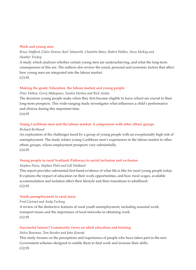#### **Work and young men**

*Bruce Stafford, Claire Heaver, Karl Ashworth, Charlotte Bates, Robert Walker, Steve McKay and Heather Trickey*

A study which analyses whether certain young men are underachieving, and what the long-term consequences of this are. The authors also review the social, personal and economic factors that affect how young men are integrated into the labour market. £13.95

## **Making the grade: Education, the labour market and young people**

*Peter Dolton, Gerry Makepeace, Sandra Hutton and Rick Audas*

The decisions young people make when they first become eligible to leave school are crucial to their long-term prospects. This wide-ranging study investigates what influences a child's performance and choices during this important time.

£14.95

## **Young Caribbean men and the labour market: A comparison with other ethnic groups**

#### *Richard Berthoud*

An exploration of the challenges faced by a group of young people with an exceptionally high risk of unemployment. The study relates young Caribbean men's experiences in the labour market to other ethnic groups, whose employment prospects vary substantially. £14.95

### **Young people in rural Scotland: Pathways to social inclusion and exclusion**

### *Stephen Pavis, Stephen Platt and Gill Hubbard*

This report provides substantial first-hand evidence of what life is like for rural young people today. It explores the impact of education on their work opportunities, and how rural wages, available accommodation and isolation affect their lifestyle and their transitions to adulthood. £12.95

### **Youth unemployment in rural areas**

### *Fred Cartmel and Andy Furlong*

A review of the distinctive features of rural youth unemployment, including seasonal work, transport issues and the importance of local networks in obtaining work. £12.95

### **Successful futures? Community views on adult education and training**

### *Helen Bowman, Tom Burden and John Konrad*

This study focuses on the perceptions and experiences of people who have taken part in the new Government schemes designed to enable them to find work and increase their skills. £12.95